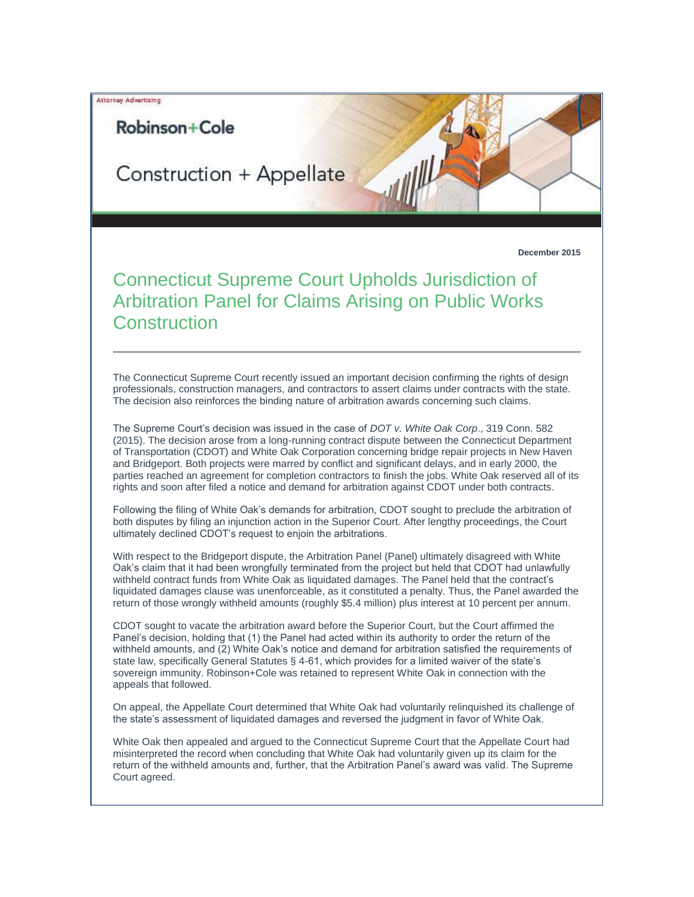**Attorney Advertising** 

## Robinson+Cole

Construction + Appellate

**December 2015**

Connecticut Supreme Court Upholds Jurisdiction of Arbitration Panel for Claims Arising on Public Works **Construction** 

The Connecticut Supreme Court recently issued an important decision confirming the rights of design professionals, construction managers, and contractors to assert claims under contracts with the state. The decision also reinforces the binding nature of arbitration awards concerning such claims.

The Supreme Court's decision was issued in the case of *DOT v. White Oak Corp*., 319 Conn. 582 (2015). The decision arose from a long-running contract dispute between the Connecticut Department of Transportation (CDOT) and White Oak Corporation concerning bridge repair projects in New Haven and Bridgeport. Both projects were marred by conflict and significant delays, and in early 2000, the parties reached an agreement for completion contractors to finish the jobs. White Oak reserved all of its rights and soon after filed a notice and demand for arbitration against CDOT under both contracts.

Following the filing of White Oak's demands for arbitration, CDOT sought to preclude the arbitration of both disputes by filing an injunction action in the Superior Court. After lengthy proceedings, the Court ultimately declined CDOT's request to enjoin the arbitrations.

With respect to the Bridgeport dispute, the Arbitration Panel (Panel) ultimately disagreed with White Oak's claim that it had been wrongfully terminated from the project but held that CDOT had unlawfully withheld contract funds from White Oak as liquidated damages. The Panel held that the contract's liquidated damages clause was unenforceable, as it constituted a penalty. Thus, the Panel awarded the return of those wrongly withheld amounts (roughly \$5.4 million) plus interest at 10 percent per annum.

CDOT sought to vacate the arbitration award before the Superior Court, but the Court affirmed the Panel's decision, holding that (1) the Panel had acted within its authority to order the return of the withheld amounts, and (2) White Oak's notice and demand for arbitration satisfied the requirements of state law, specifically General Statutes § 4-61, which provides for a limited waiver of the state's sovereign immunity. Robinson+Cole was retained to represent White Oak in connection with the appeals that followed.

On appeal, the Appellate Court determined that White Oak had voluntarily relinquished its challenge of the state's assessment of liquidated damages and reversed the judgment in favor of White Oak.

White Oak then appealed and argued to the Connecticut Supreme Court that the Appellate Court had misinterpreted the record when concluding that White Oak had voluntarily given up its claim for the return of the withheld amounts and, further, that the Arbitration Panel's award was valid. The Supreme Court agreed.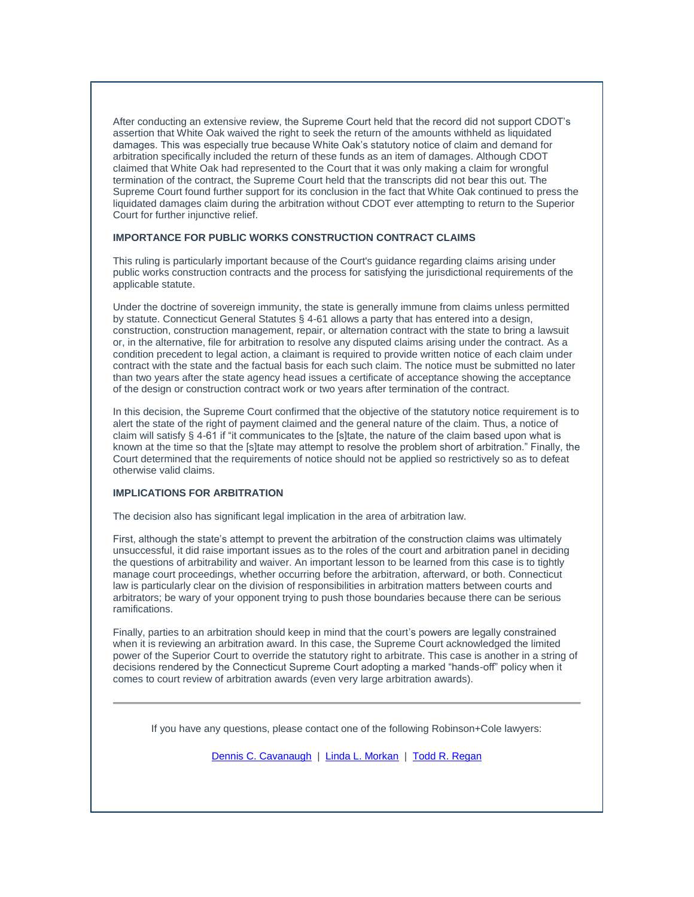After conducting an extensive review, the Supreme Court held that the record did not support CDOT's assertion that White Oak waived the right to seek the return of the amounts withheld as liquidated damages. This was especially true because White Oak's statutory notice of claim and demand for arbitration specifically included the return of these funds as an item of damages. Although CDOT claimed that White Oak had represented to the Court that it was only making a claim for wrongful termination of the contract, the Supreme Court held that the transcripts did not bear this out. The Supreme Court found further support for its conclusion in the fact that White Oak continued to press the liquidated damages claim during the arbitration without CDOT ever attempting to return to the Superior Court for further injunctive relief.

## **IMPORTANCE FOR PUBLIC WORKS CONSTRUCTION CONTRACT CLAIMS**

This ruling is particularly important because of the Court's guidance regarding claims arising under public works construction contracts and the process for satisfying the jurisdictional requirements of the applicable statute.

Under the doctrine of sovereign immunity, the state is generally immune from claims unless permitted by statute. Connecticut General Statutes § 4-61 allows a party that has entered into a design, construction, construction management, repair, or alternation contract with the state to bring a lawsuit or, in the alternative, file for arbitration to resolve any disputed claims arising under the contract. As a condition precedent to legal action, a claimant is required to provide written notice of each claim under contract with the state and the factual basis for each such claim. The notice must be submitted no later than two years after the state agency head issues a certificate of acceptance showing the acceptance of the design or construction contract work or two years after termination of the contract.

In this decision, the Supreme Court confirmed that the objective of the statutory notice requirement is to alert the state of the right of payment claimed and the general nature of the claim. Thus, a notice of claim will satisfy § 4-61 if "it communicates to the [s]tate, the nature of the claim based upon what is known at the time so that the [s]tate may attempt to resolve the problem short of arbitration." Finally, the Court determined that the requirements of notice should not be applied so restrictively so as to defeat otherwise valid claims.

## **IMPLICATIONS FOR ARBITRATION**

The decision also has significant legal implication in the area of arbitration law.

First, although the state's attempt to prevent the arbitration of the construction claims was ultimately unsuccessful, it did raise important issues as to the roles of the court and arbitration panel in deciding the questions of arbitrability and waiver. An important lesson to be learned from this case is to tightly manage court proceedings, whether occurring before the arbitration, afterward, or both. Connecticut law is particularly clear on the division of responsibilities in arbitration matters between courts and arbitrators; be wary of your opponent trying to push those boundaries because there can be serious ramifications.

Finally, parties to an arbitration should keep in mind that the court's powers are legally constrained when it is reviewing an arbitration award. In this case, the Supreme Court acknowledged the limited power of the Superior Court to override the statutory right to arbitrate. This case is another in a string of decisions rendered by the Connecticut Supreme Court adopting a marked "hands-off" policy when it comes to court review of arbitration awards (even very large arbitration awards).

If you have any questions, please contact one of the following Robinson+Cole lawyers:

[Dennis C. Cavanaugh](http://t2806904.omkt.co/track.aspx?id=402|2AD478|6F10|27A|E17|0|16BA|1|70150F0A&destination=http%3a%2f%2fwww.rc.com%2fpeople%2fDennisCCavanaugh.cfm%3futm_source%3dVocus%26utm_medium%3demail%26utm_campaign%3dRobinson%2b%2526%2bCole%2bLLP%26utm_content%3dConstruction%2bLegal%2bUpdate&dchk=72097E5D) | [Linda L. Morkan](http://t2806904.omkt.co/track.aspx?id=402|2AD478|6F10|27A|E17|0|16BB|1|70150F0A&destination=http%3a%2f%2fwww.rc.com%2fpeople%2fLindaLMorkan.cfm%3futm_source%3dVocus%26utm_medium%3demail%26utm_campaign%3dRobinson%2b%2526%2bCole%2bLLP%26utm_content%3dConstruction%2bLegal%2bUpdate&dchk=3AF4F624) | [Todd R. Regan](http://t2806904.omkt.co/track.aspx?id=402|2AD478|6F10|27A|E17|0|16BC|1|70150F0A&destination=http%3a%2f%2fwww.rc.com%2fpeople%2fToddRRegan.cfm%3futm_source%3dVocus%26utm_medium%3demail%26utm_campaign%3dRobinson%2b%2526%2bCole%2bLLP%26utm_content%3dConstruction%2bLegal%2bUpdate&dchk=51DB5246)